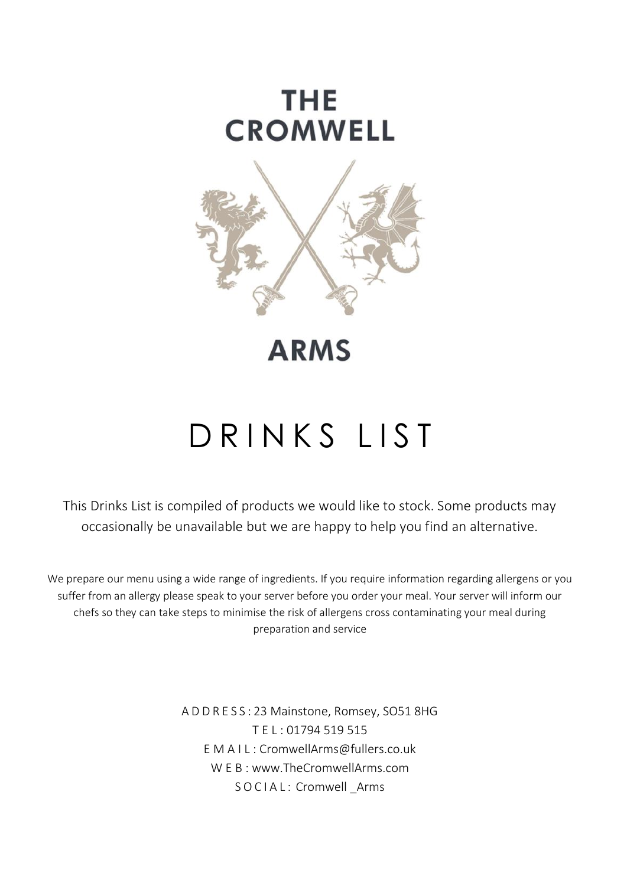

## **ARMS**

# D R I N K S L I S T

This Drinks List is compiled of products we would like to stock. Some products may occasionally be unavailable but we are happy to help you find an alternative.

We prepare our menu using a wide range of ingredients. If you require information regarding allergens or you suffer from an allergy please speak to your server before you order your meal. Your server will inform our chefs so they can take steps to minimise the risk of allergens cross contaminating your meal during preparation and service

> A D D R E S S : 23 Mainstone, Romsey, SO51 8HG T E L : 01794 519 515 E M A I L : CromwellArms@fullers.co.uk W E B : www.TheCromwellArms.com S O C I A L: Cromwell Arms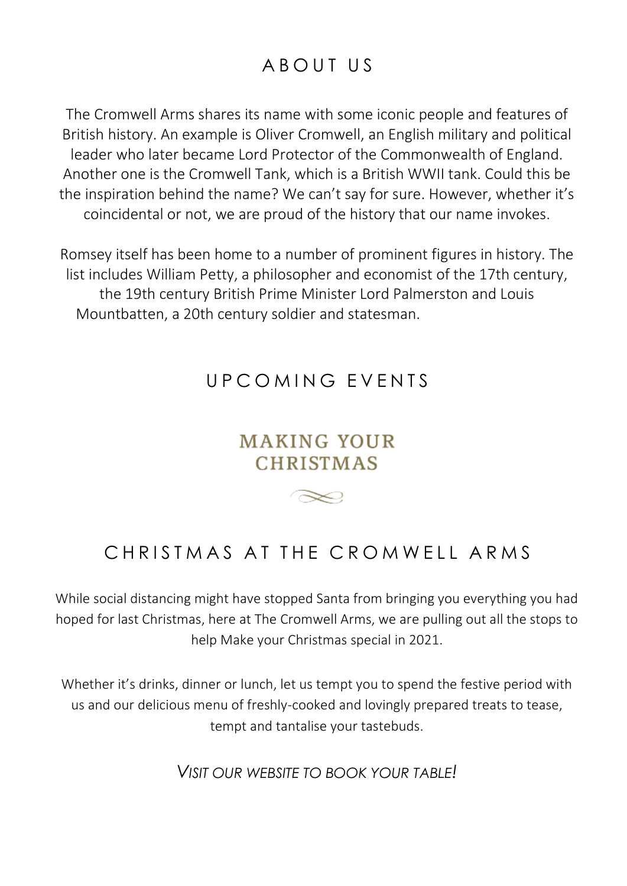## A B O IIT IIS

The Cromwell Arms shares its name with some iconic people and features of British history. An example is Oliver Cromwell, an English military and political leader who later became Lord Protector of the Commonwealth of England. Another one is the Cromwell Tank, which is a British WWII tank. Could this be the inspiration behind the name? We can't say for sure. However, whether it's coincidental or not, we are proud of the history that our name invokes.

Romsey itself has been home to a number of prominent figures in history. The list includes William Petty, a philosopher and economist of the 17th century, the 19th century British Prime Minister Lord Palmerston and Louis Mountbatten, a 20th century soldier and statesman.

## UPCOMING FVENTS

## **MAKING YOUR CHRISTMAS**

 $\infty$ 

CHRISTMAS AT THE CROMWELL ARMS

While social distancing might have stopped Santa from bringing you everything you had hoped for last Christmas, here at The Cromwell Arms, we are pulling out all the stops to help Make your Christmas special in 2021.

Whether it's drinks, dinner or lunch, let us tempt you to spend the festive period with us and our delicious menu of freshly-cooked and lovingly prepared treats to tease, tempt and tantalise your tastebuds.

*VISIT OUR WEBSITE TO BOOK YOUR TABLE!*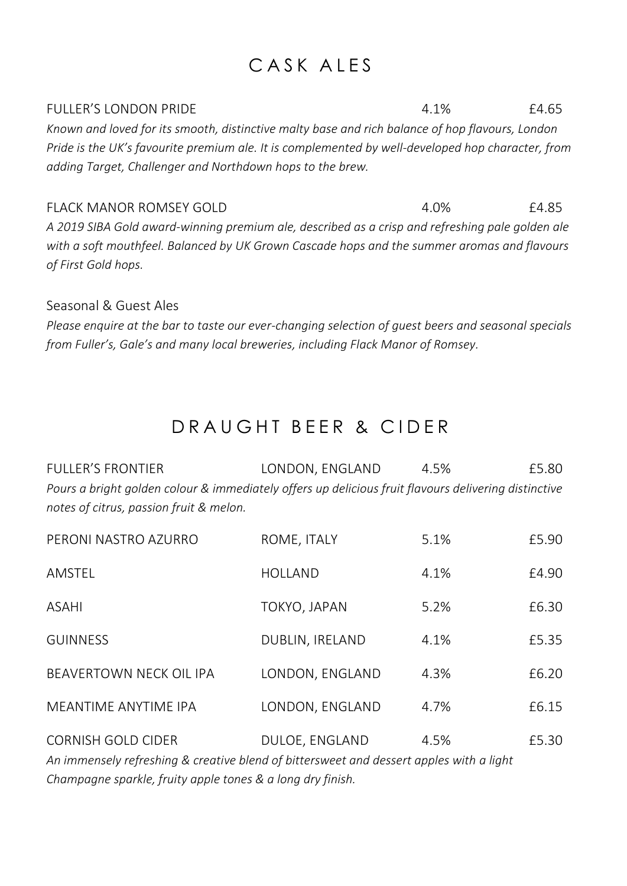## CASK ALES

FULLER'S LONDON PRIDE 4.1% 4.1% £4.65 *Known and loved for its smooth, distinctive malty base and rich balance of hop flavours, London Pride is the UK's favourite premium ale. It is complemented by well-developed hop character, from adding Target, Challenger and Northdown hops to the brew.*

FLACK MANOR ROMSEY GOLD 4.0% 4.0% £4.85 *A 2019 SIBA Gold award-winning premium ale, described as a crisp and refreshing pale golden ale with a soft mouthfeel. Balanced by UK Grown Cascade hops and the summer aromas and flavours of First Gold hops.*

### Seasonal & Guest Ales

*Please enquire at the bar to taste our ever-changing selection of guest beers and seasonal specials from Fuller's, Gale's and many local breweries, including Flack Manor of Romsey.*

## D R A U G H T B F F R & C I D F R

| <b>FULLER'S FRONTIER</b>                                                                             | LONDON, ENGLAND | 4.5% | £5.80 |
|------------------------------------------------------------------------------------------------------|-----------------|------|-------|
| Pours a bright golden colour & immediately offers up delicious fruit flavours delivering distinctive |                 |      |       |
| notes of citrus, passion fruit & melon.                                                              |                 |      |       |

| PERONI NASTRO AZURRO           | ROME, ITALY     | 5.1% | £5.90 |
|--------------------------------|-----------------|------|-------|
| AMSTEL                         | <b>HOLLAND</b>  | 4.1% | £4.90 |
| ASAHI                          | TOKYO, JAPAN    | 5.2% | £6.30 |
| <b>GUINNESS</b>                | DUBLIN, IRELAND | 4.1% | £5.35 |
| <b>BEAVERTOWN NECK OIL IPA</b> | LONDON, ENGLAND | 4.3% | £6.20 |
| MEANTIME ANYTIME IPA           | LONDON, ENGLAND | 4.7% | £6.15 |
| CORNISH GOLD CIDER             | DULOE, ENGLAND  | 4.5% | £5.30 |

*An immensely refreshing & creative blend of bittersweet and dessert apples with a light Champagne sparkle, fruity apple tones & a long dry finish.*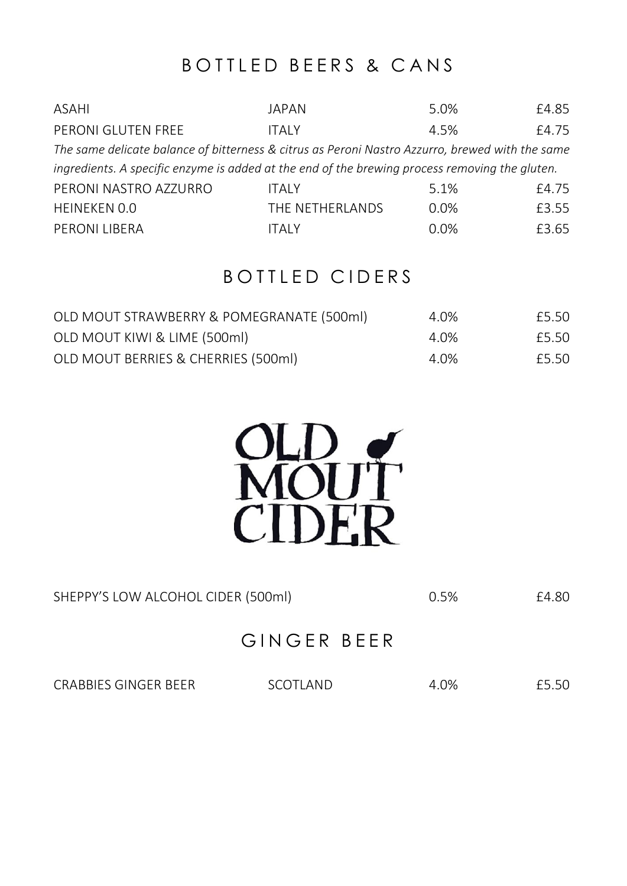## BOTTLED BEERS & CANS

| ASAHI                                                                                           | JAPAN           | 5.0% | £4.85 |
|-------------------------------------------------------------------------------------------------|-----------------|------|-------|
| PERONI GLUTEN FREE                                                                              | <b>ITAIY</b>    | 4.5% | £4.75 |
| The same delicate balance of bitterness & citrus as Peroni Nastro Azzurro, brewed with the same |                 |      |       |
| ingredients. A specific enzyme is added at the end of the brewing process removing the gluten.  |                 |      |       |
| PERONI NASTRO AZZURRO                                                                           | <b>ITAIY</b>    | 5.1% | £4.75 |
| HEINEKEN 0.0                                                                                    | THE NETHERLANDS | 0.0% | £3.55 |
| PERONI LIBERA                                                                                   | ITAI Y          | 0.0% | £3.65 |

## BOTTLED CIDERS

| OLD MOUT STRAWBERRY & POMEGRANATE (500ml) | 4.0% | £5.50 |
|-------------------------------------------|------|-------|
| OLD MOUT KIWI & LIME (500ml)              | 4.0% | £5.50 |
| OLD MOUT BERRIES & CHERRIES (500ml)       | 4.0% | £5.50 |



| SHEPPY'S LOW ALCOHOL CIDER (500ml) | 0.5% | £4.80 |
|------------------------------------|------|-------|
|                                    |      |       |

## GINGER BEER

CRABBIES GINGER BEER SCOTLAND 4.0% £5.50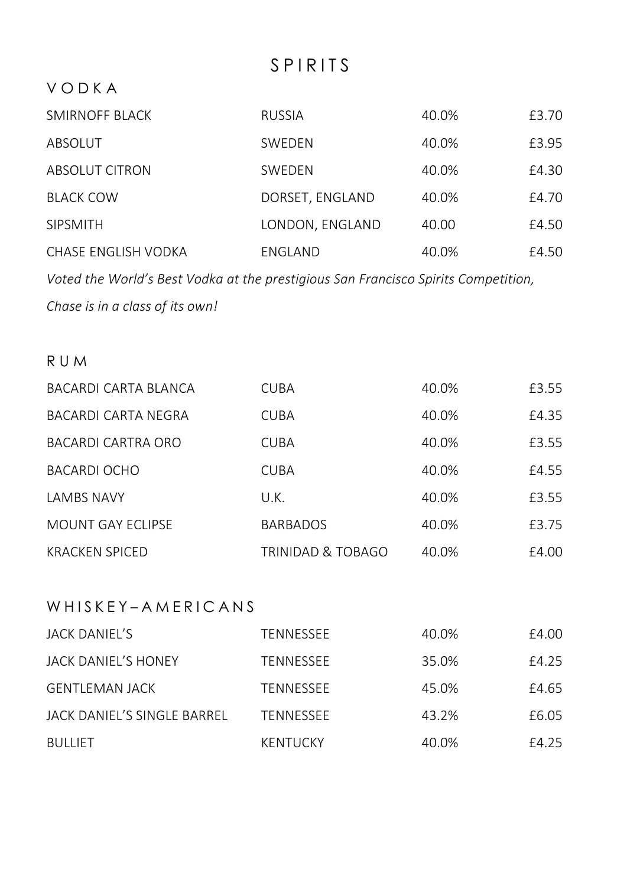## S P I R I T S

### V O D K A

| SMIRNOFF BLACK      | <b>RUSSIA</b>   | 40.0% | £3.70 |
|---------------------|-----------------|-------|-------|
| ABSOLUT             | SWEDEN          | 40.0% | £3.95 |
| ABSOLUT CITRON      | SWEDEN          | 40.0% | £4.30 |
| <b>BLACK COW</b>    | DORSET, ENGLAND | 40.0% | £4.70 |
| <b>SIPSMITH</b>     | LONDON, ENGLAND | 40.00 | £4.50 |
| CHASE ENGLISH VODKA | ENGLAND         | 40.0% | £4.50 |

*Voted the World's Best Vodka at the prestigious San Francisco Spirits Competition,* 

*Chase is in a class of its own!* 

### R U M

| <b>BACARDI CARTA BLANCA</b> | <b>CUBA</b>       | 40.0% | £3.55 |
|-----------------------------|-------------------|-------|-------|
| BACARDI CARTA NEGRA         | <b>CUBA</b>       | 40.0% | £4.35 |
| BACARDI CARTRA ORO          | <b>CUBA</b>       | 40.0% | £3.55 |
| <b>BACARDI OCHO</b>         | <b>CUBA</b>       | 40.0% | £4.55 |
| <b>LAMBS NAVY</b>           | U.K.              | 40.0% | £3.55 |
| MOUNT GAY ECLIPSE           | <b>BARBADOS</b>   | 40.0% | £3.75 |
| <b>KRACKEN SPICED</b>       | TRINIDAD & TOBAGO | 40.0% | £4.00 |

### W H I S K F Y – A M F R I C A N S

| JACK DANIEL'S               | TENNESSEE       | 40.0% | £4.00 |
|-----------------------------|-----------------|-------|-------|
| JACK DANIEL'S HONEY         | TENNESSEE       | 35.0% | £4.25 |
| <b>GENTLEMAN JACK</b>       | TENNESSEE       | 45.0% | £4.65 |
| JACK DANIEL'S SINGLE BARREL | TENNESSEE       | 43.2% | £6.05 |
| <b>BULLIET</b>              | <b>KENTUCKY</b> | 40.0% | £4.25 |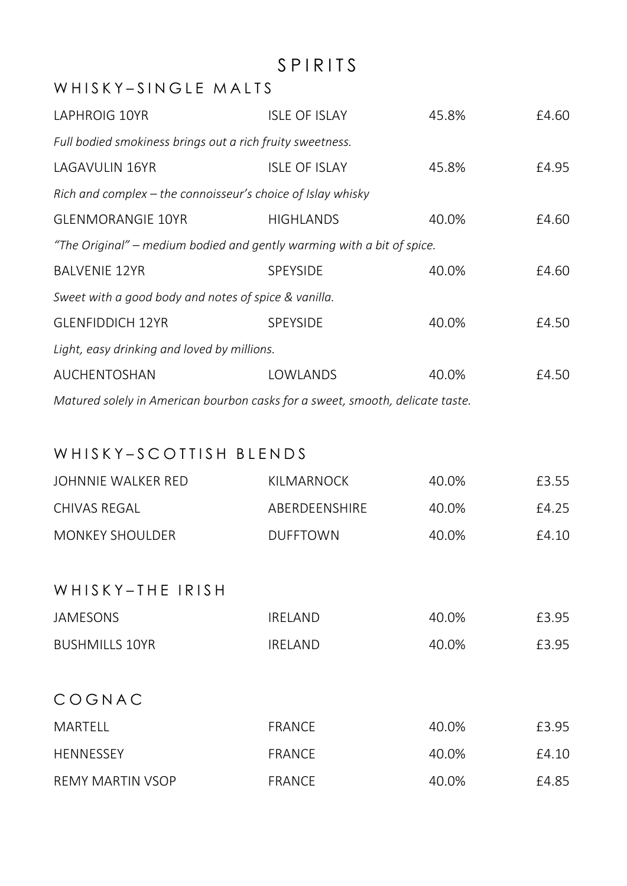## S P I R I T S

### WHIS KY-SINGLE MALTS

| LAPHROIG 10YR                                                                 | <b>ISLE OF ISLAY</b> | 45.8% | £4.60 |  |
|-------------------------------------------------------------------------------|----------------------|-------|-------|--|
| Full bodied smokiness brings out a rich fruity sweetness.                     |                      |       |       |  |
| LAGAVULIN 16YR                                                                | <b>ISLE OF ISLAY</b> | 45.8% | £4.95 |  |
| Rich and complex – the connoisseur's choice of Islay whisky                   |                      |       |       |  |
| <b>GLENMORANGIE 10YR</b>                                                      | <b>HIGHLANDS</b>     | 40.0% | £4.60 |  |
| "The Original" – medium bodied and gently warming with a bit of spice.        |                      |       |       |  |
| <b>BALVENIE 12YR</b>                                                          | <b>SPEYSIDE</b>      | 40.0% | £4.60 |  |
| Sweet with a good body and notes of spice & vanilla.                          |                      |       |       |  |
| <b>GLENFIDDICH 12YR</b>                                                       | <b>SPEYSIDE</b>      | 40.0% | £4.50 |  |
| Light, easy drinking and loved by millions.                                   |                      |       |       |  |
| AUCHENTOSHAN                                                                  | LOWLANDS             | 40.0% | £4.50 |  |
| Matured solely in American bourbon casks for a sweet, smooth, delicate taste. |                      |       |       |  |

### WHISKY-SCOTTISH BLENDS

| JOHNNIE WALKER RED     | KII MARNOCK     | 40.0% | £3.55 |
|------------------------|-----------------|-------|-------|
| CHIVAS REGAL           | ABERDEENSHIRE   | 40.0% | F4 25 |
| <b>MONKEY SHOULDER</b> | <b>DUFFTOWN</b> | 40.0% | £4.10 |

### WHISKY-THE IRISH

| JAMESONS       | IRFI AND | 40.0% | £3.95 |
|----------------|----------|-------|-------|
| BUSHMILLS 10YR | IRFI AND | 40.0% | £3.95 |

## C O G N A C

| MARTELL          | FRANCE | 40.0% | £3.95 |
|------------------|--------|-------|-------|
| <b>HENNESSEY</b> | FRANCE | 40.0% | £4 10 |
| REMY MARTIN VSOP | FRANCE | 40.0% | £4.85 |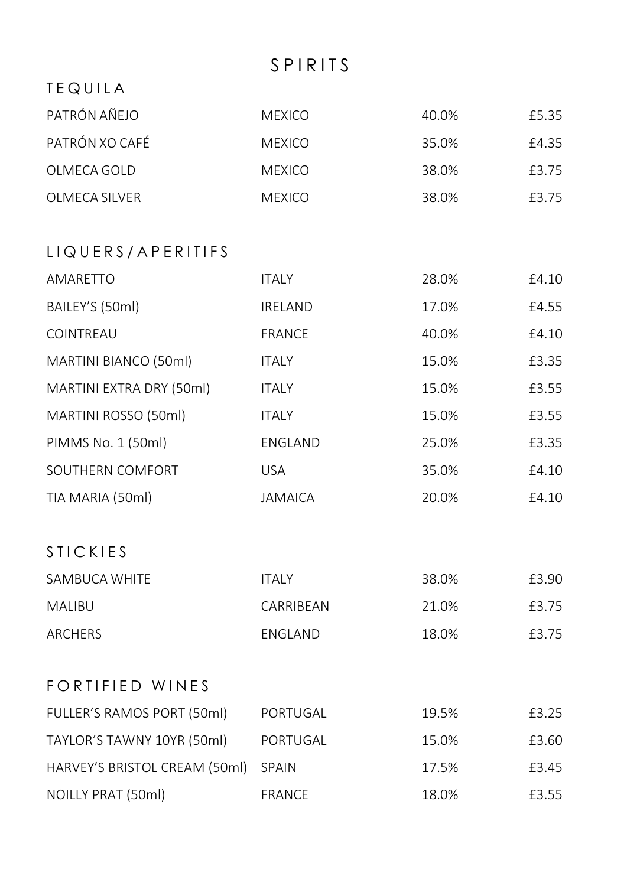## S P I R I T S

| TEQUILA                       |                |       |       |
|-------------------------------|----------------|-------|-------|
| PATRÓN AÑEJO                  | <b>MEXICO</b>  | 40.0% | £5.35 |
| PATRÓN XO CAFÉ                | <b>MEXICO</b>  | 35.0% | £4.35 |
| OLMECA GOLD                   | <b>MEXICO</b>  | 38.0% | £3.75 |
| OLMECA SILVER                 | <b>MEXICO</b>  | 38.0% | £3.75 |
| LIQUERS/APERITIFS             |                |       |       |
| AMARETTO                      | <b>ITALY</b>   | 28.0% | £4.10 |
| BAILEY'S (50ml)               | IRELAND        | 17.0% | £4.55 |
| COINTREAU                     | <b>FRANCE</b>  | 40.0% | £4.10 |
| MARTINI BIANCO (50ml)         | <b>ITALY</b>   | 15.0% | £3.35 |
| MARTINI EXTRA DRY (50ml)      | <b>ITALY</b>   | 15.0% | £3.55 |
| MARTINI ROSSO (50ml)          | <b>ITALY</b>   | 15.0% | £3.55 |
| PIMMS No. 1 (50ml)            | ENGLAND        | 25.0% | £3.35 |
| SOUTHERN COMFORT              | <b>USA</b>     | 35.0% | £4.10 |
| TIA MARIA (50ml)              | <b>JAMAICA</b> | 20.0% | £4.10 |
| <b>STICKIES</b>               |                |       |       |
| SAMBUCA WHITE                 | <b>ITALY</b>   | 38.0% | £3.90 |
| MALIBU                        | CARRIBEAN      | 21.0% | £3.75 |
| ARCHERS                       | ENGLAND        | 18.0% | £3.75 |
| <b>FORTIFIED WINES</b>        |                |       |       |
| FULLER'S RAMOS PORT (50ml)    | PORTUGAL       | 19.5% | £3.25 |
| TAYLOR'S TAWNY 10YR (50ml)    | PORTUGAL       | 15.0% | £3.60 |
| HARVEY'S BRISTOL CREAM (50ml) | <b>SPAIN</b>   | 17.5% | £3.45 |
| NOILLY PRAT (50ml)            | <b>FRANCE</b>  | 18.0% | £3.55 |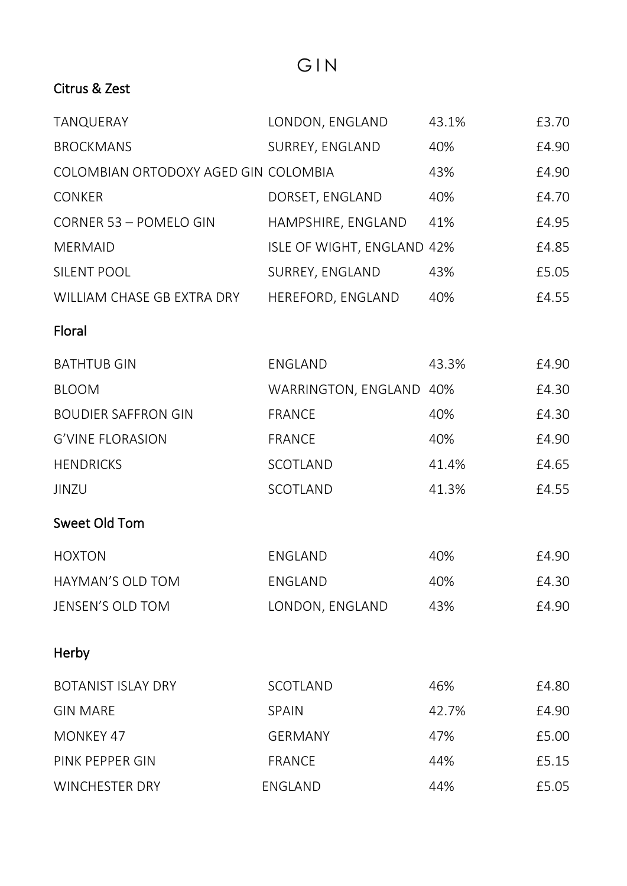## G I N

### Citrus & Zest

| TANQUERAY                            | LONDON, ENGLAND            | 43.1% | £3.70 |
|--------------------------------------|----------------------------|-------|-------|
| <b>BROCKMANS</b>                     | SURREY, ENGLAND            | 40%   | £4.90 |
| COLOMBIAN ORTODOXY AGED GIN COLOMBIA |                            | 43%   | £4.90 |
| CONKER                               | DORSET, ENGLAND            | 40%   | £4.70 |
| CORNER 53 - POMELO GIN               | HAMPSHIRE, ENGLAND         | 41%   | £4.95 |
| <b>MERMAID</b>                       | ISLE OF WIGHT, ENGLAND 42% |       | £4.85 |
| SILENT POOL                          | SURREY, ENGLAND            | 43%   | £5.05 |
| WILLIAM CHASE GB EXTRA DRY           | HEREFORD, ENGLAND          | 40%   | £4.55 |
| Floral                               |                            |       |       |
| <b>BATHTUB GIN</b>                   | ENGLAND                    | 43.3% | £4.90 |
| <b>BLOOM</b>                         | WARRINGTON, ENGLAND 40%    |       | £4.30 |
| <b>BOUDIER SAFFRON GIN</b>           | <b>FRANCE</b>              | 40%   | £4.30 |
| <b>G'VINE FLORASION</b>              | <b>FRANCE</b>              | 40%   | £4.90 |
| <b>HENDRICKS</b>                     | SCOTLAND                   | 41.4% | £4.65 |
| JINZU                                | SCOTLAND                   | 41.3% | £4.55 |
| Sweet Old Tom                        |                            |       |       |
| <b>HOXTON</b>                        | ENGLAND                    | 40%   | £4.90 |
| HAYMAN'S OLD TOM                     | <b>ENGLAND</b>             | 40%   | £4.30 |
| JENSEN'S OLD TOM                     | LONDON, ENGLAND            | 43%   | £4.90 |
| Herby                                |                            |       |       |
| <b>BOTANIST ISLAY DRY</b>            | SCOTLAND                   | 46%   | £4.80 |
| <b>GIN MARE</b>                      | SPAIN                      | 42.7% | £4.90 |
| MONKEY 47                            | <b>GERMANY</b>             | 47%   | £5.00 |
| PINK PEPPER GIN                      | <b>FRANCE</b>              | 44%   | £5.15 |
| <b>WINCHESTER DRY</b>                | ENGLAND                    | 44%   | £5.05 |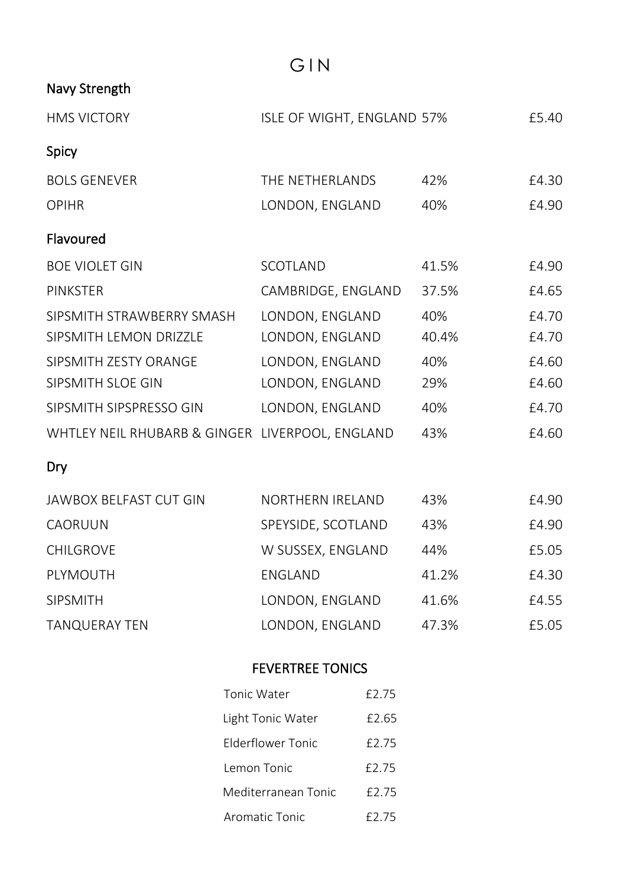G I N

### Navy Strength

| <b>HMS VICTORY</b>                              | ISLE OF WIGHT, ENGLAND 57% |       | £5.40 |
|-------------------------------------------------|----------------------------|-------|-------|
| Spicy                                           |                            |       |       |
| <b>BOLS GENEVER</b>                             | THE NETHERLANDS            | 42%   | £4.30 |
| <b>OPIHR</b>                                    | LONDON, ENGLAND            | 40%   | £4.90 |
| Flavoured                                       |                            |       |       |
| <b>BOE VIOLET GIN</b>                           | SCOTLAND                   | 41.5% | £4.90 |
| <b>PINKSTER</b>                                 | CAMBRIDGE, ENGLAND         | 37.5% | £4.65 |
| SIPSMITH STRAWBERRY SMASH                       | LONDON, ENGLAND            | 40%   | £4.70 |
| SIPSMITH LEMON DRIZZLE                          | LONDON, ENGLAND            | 40.4% | £4.70 |
| SIPSMITH ZESTY ORANGE                           | LONDON, ENGLAND            | 40%   | £4.60 |
| SIPSMITH SLOE GIN                               | LONDON, ENGLAND            | 29%   | £4.60 |
| SIPSMITH SIPSPRESSO GIN                         | LONDON, ENGLAND            | 40%   | £4.70 |
| WHTLEY NEIL RHUBARB & GINGER LIVERPOOL, ENGLAND |                            | 43%   | £4.60 |
| Dry                                             |                            |       |       |
| <b>JAWBOX BELFAST CUT GIN</b>                   | NORTHERN IRELAND           | 43%   | £4.90 |
| CAORUUN                                         | SPEYSIDE, SCOTLAND         | 43%   | £4.90 |
| <b>CHILGROVE</b>                                | W SUSSEX, ENGLAND          | 44%   | £5.05 |
|                                                 |                            |       |       |

| PLYMOUTH      | ENGLAND         | 41.2% | £4.30 |
|---------------|-----------------|-------|-------|
| SIPSMITH      | LONDON, ENGLAND | 41.6% | £4.55 |
| TANQUERAY TEN | LONDON, ENGLAND | 47.3% | £5.05 |

## FEVERTREE TONICS

| Tonic Water         | £2.75 |
|---------------------|-------|
| Light Tonic Water   | £2.65 |
| Flderflower Tonic   | £2.75 |
| Lemon Tonic         | £2.75 |
| Mediterranean Tonic | £2.75 |
| Aromatic Tonic      | £2.75 |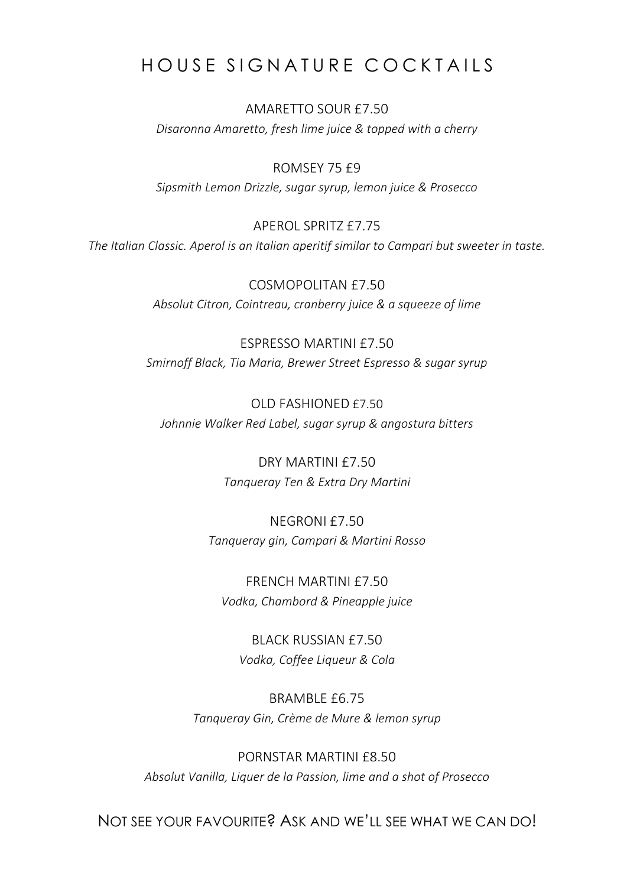## HOUSE SIGNATURE COCKTAILS

AMARETTO SOUR £7.50 *Disaronna Amaretto, fresh lime juice & topped with a cherry*

ROMSEY 75 £9 *Sipsmith Lemon Drizzle, sugar syrup, lemon juice & Prosecco*

APEROL SPRITZ £7.75 *The Italian Classic. Aperol is an Italian aperitif similar to Campari but sweeter in taste.*

> COSMOPOLITAN £7.50 *Absolut Citron, Cointreau, cranberry juice & a squeeze of lime*

ESPRESSO MARTINI £7.50 *Smirnoff Black, Tia Maria, Brewer Street Espresso & sugar syrup*

OLD FASHIONED £7.50 *Johnnie Walker Red Label, sugar syrup & angostura bitters*

> DRY MARTINI £7.50 *Tanqueray Ten & Extra Dry Martini*

NEGRONI £7.50 *Tanqueray gin, Campari & Martini Rosso*

FRENCH MARTINI £7.50 *Vodka, Chambord & Pineapple juice*

BLACK RUSSIAN £7.50 *Vodka, Coffee Liqueur & Cola*

BRAMBLE £6.75 *Tanqueray Gin, Crème de Mure & lemon syrup*

PORNSTAR MARTINI £8.50 *Absolut Vanilla, Liquer de la Passion, lime and a shot of Prosecco*

NOT SEE YOUR FAVOURITE? ASK AND WE'LL SEE WHAT WE CAN DO!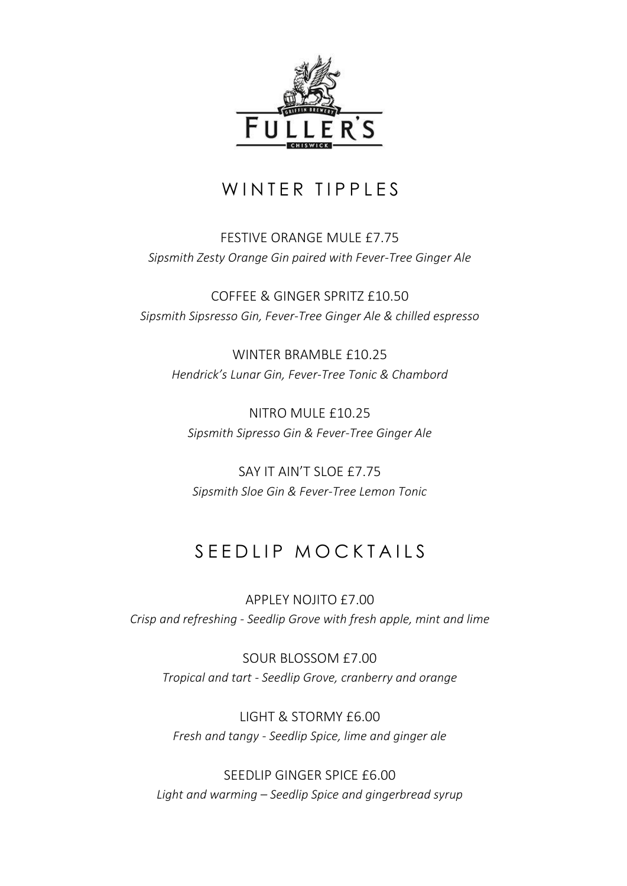

## WINTER TIPPLES

### FESTIVE ORANGE MULE £7.75 *Sipsmith Zesty Orange Gin paired with Fever-Tree Ginger Ale*

COFFEE & GINGER SPRITZ £10.50 *Sipsmith Sipsresso Gin, Fever-Tree Ginger Ale & chilled espresso*

WINTER BRAMBLE £10.25 *Hendrick's Lunar Gin, Fever-Tree Tonic & Chambord*

NITRO MULE £10.25 *Sipsmith Sipresso Gin & Fever-Tree Ginger Ale*

SAY IT AIN'T SLOE £7.75 *Sipsmith Sloe Gin & Fever-Tree Lemon Tonic*

## S E E DI I PM O C K TAILS

APPLEY NOJITO £7.00 *Crisp and refreshing - Seedlip Grove with fresh apple, mint and lime*

SOUR BLOSSOM £7.00 *Tropical and tart - Seedlip Grove, cranberry and orange*

LIGHT & STORMY £6.00 *Fresh and tangy - Seedlip Spice, lime and ginger ale*

SEEDLIP GINGER SPICE £6.00 *Light and warming – Seedlip Spice and gingerbread syrup*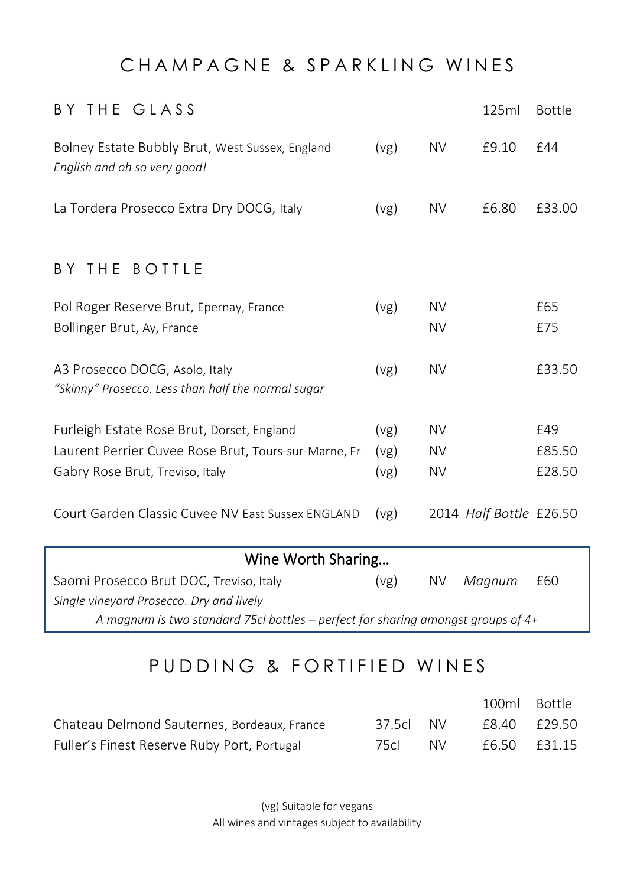## CHAMPAGNE & SPARKLING WINES

| BY THE GLASS                                                                         |      |           | 125ml                   | <b>Bottle</b> |
|--------------------------------------------------------------------------------------|------|-----------|-------------------------|---------------|
| Bolney Estate Bubbly Brut, West Sussex, England<br>English and oh so very good!      | (vg) | <b>NV</b> | £9.10                   | £44           |
| La Tordera Prosecco Extra Dry DOCG, Italy                                            | (vg) | <b>NV</b> | £6.80                   | £33.00        |
| BY THE BOTTLE                                                                        |      |           |                         |               |
| Pol Roger Reserve Brut, Epernay, France                                              | (vg) | <b>NV</b> |                         | £65           |
| Bollinger Brut, Ay, France                                                           |      | <b>NV</b> |                         | £75           |
| A3 Prosecco DOCG, Asolo, Italy<br>"Skinny" Prosecco. Less than half the normal sugar | (vg) | <b>NV</b> |                         | £33.50        |
| Furleigh Estate Rose Brut, Dorset, England                                           | (vg) | <b>NV</b> |                         | £49           |
| Laurent Perrier Cuvee Rose Brut, Tours-sur-Marne, Fr                                 | (vg) | <b>NV</b> |                         | £85.50        |
| Gabry Rose Brut, Treviso, Italy                                                      | (vg) | <b>NV</b> |                         | £28.50        |
| Court Garden Classic Cuvee NV East Sussex ENGLAND                                    | (vg) |           | 2014 Half Bottle £26.50 |               |

| Wine Worth Sharing                                                                 |      |  |               |  |
|------------------------------------------------------------------------------------|------|--|---------------|--|
| Saomi Prosecco Brut DOC, Treviso, Italy                                            | (vg) |  | NV Magnum £60 |  |
| Single vineyard Prosecco. Dry and lively                                           |      |  |               |  |
| A magnum is two standard 75cl bottles – perfect for sharing amongst groups of $4+$ |      |  |               |  |

## P U D D I N G & F O R T I F I E D W I N E S

|                                             |           |     | 100ml Bottle |  |
|---------------------------------------------|-----------|-----|--------------|--|
| Chateau Delmond Sauternes, Bordeaux, France | 37.5cl NV |     | £8.40 £29.50 |  |
| Fuller's Finest Reserve Ruby Port, Portugal | 75cl      | NV. | £6.50 £31.15 |  |

(vg) Suitable for vegans All wines and vintages subject to availability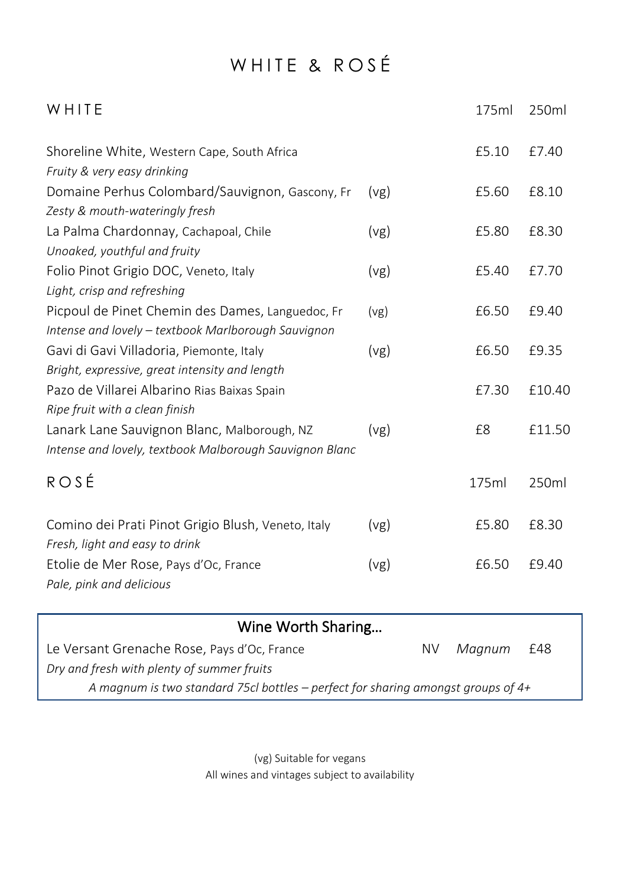## WHITE & ROSÉ

| WHITE                                                                                                   |      | 175ml | 250ml  |
|---------------------------------------------------------------------------------------------------------|------|-------|--------|
| Shoreline White, Western Cape, South Africa<br>Fruity & very easy drinking                              |      | £5.10 | £7.40  |
| Domaine Perhus Colombard/Sauvignon, Gascony, Fr<br>Zesty & mouth-wateringly fresh                       | (vg) | £5.60 | £8.10  |
| La Palma Chardonnay, Cachapoal, Chile<br>Unoaked, youthful and fruity                                   | (vg) | £5.80 | £8.30  |
| Folio Pinot Grigio DOC, Veneto, Italy<br>Light, crisp and refreshing                                    | (vg) | £5.40 | £7.70  |
| Picpoul de Pinet Chemin des Dames, Languedoc, Fr<br>Intense and lovely - textbook Marlborough Sauvignon | (vg) | £6.50 | £9.40  |
| Gavi di Gavi Villadoria, Piemonte, Italy<br>Bright, expressive, great intensity and length              | (vg) | £6.50 | £9.35  |
| Pazo de Villarei Albarino Rias Baixas Spain<br>Ripe fruit with a clean finish                           |      | £7.30 | £10.40 |
| Lanark Lane Sauvignon Blanc, Malborough, NZ<br>Intense and lovely, textbook Malborough Sauvignon Blanc  | (vg) | £8    | £11.50 |
| ROSE                                                                                                    |      | 175ml | 250ml  |
| Comino dei Prati Pinot Grigio Blush, Veneto, Italy<br>Fresh, light and easy to drink                    | (vg) | £5.80 | £8.30  |
| Etolie de Mer Rose, Pays d'Oc, France<br>Pale, pink and delicious                                       | (vg) | £6.50 | £9.40  |

| Wine Worth Sharing                                                                 |     |            |  |  |
|------------------------------------------------------------------------------------|-----|------------|--|--|
| Le Versant Grenache Rose, Pays d'Oc, France                                        | NV. | Magnum £48 |  |  |
| Dry and fresh with plenty of summer fruits                                         |     |            |  |  |
| A magnum is two standard 75cl bottles – perfect for sharing amongst groups of $4+$ |     |            |  |  |

(vg) Suitable for vegans All wines and vintages subject to availability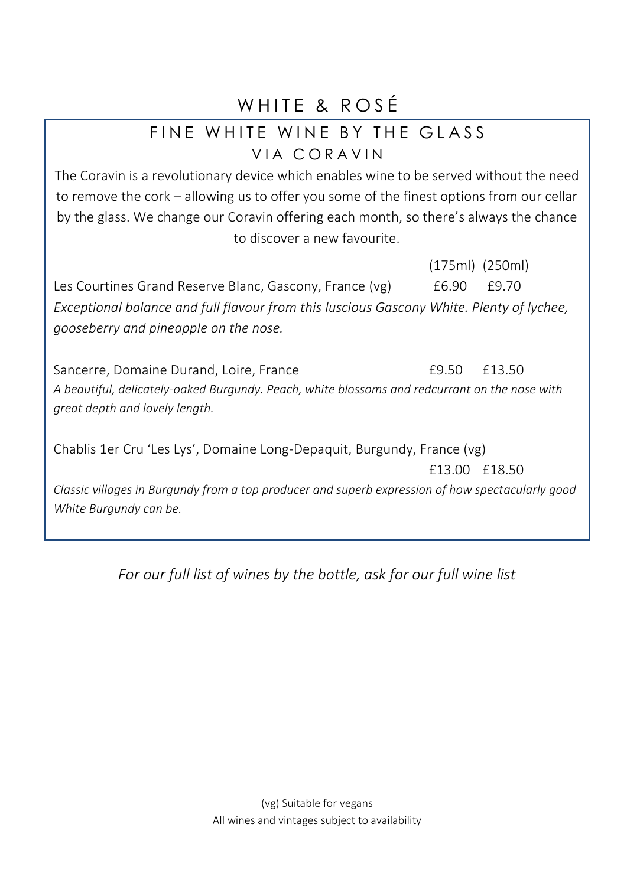## WHITE & ROSÉ

## FINE WHITE WINE BY THE GLASS VIA CORAVIN

The Coravin is a revolutionary device which enables wine to be served without the need to remove the cork – allowing us to offer you some of the finest options from our cellar by the glass. We change our Coravin offering each month, so there's always the chance to discover a new favourite.

(175ml) (250ml) Les Courtines Grand Reserve Blanc, Gascony, France (vg)  $\qquad 6.90$  £9.70 *Exceptional balance and full flavour from this luscious Gascony White. Plenty of lychee, gooseberry and pineapple on the nose.*

Sancerre, Domaine Durand, Loire, France **E9.50** £13.50 *A beautiful, delicately-oaked Burgundy. Peach, white blossoms and redcurrant on the nose with great depth and lovely length.*

Chablis 1er Cru 'Les Lys', Domaine Long-Depaquit, Burgundy, France (vg) £13.00 £18.50 *Classic villages in Burgundy from a top producer and superb expression of how spectacularly good White Burgundy can be.*

*For our full list of wines by the bottle, ask for our full wine list*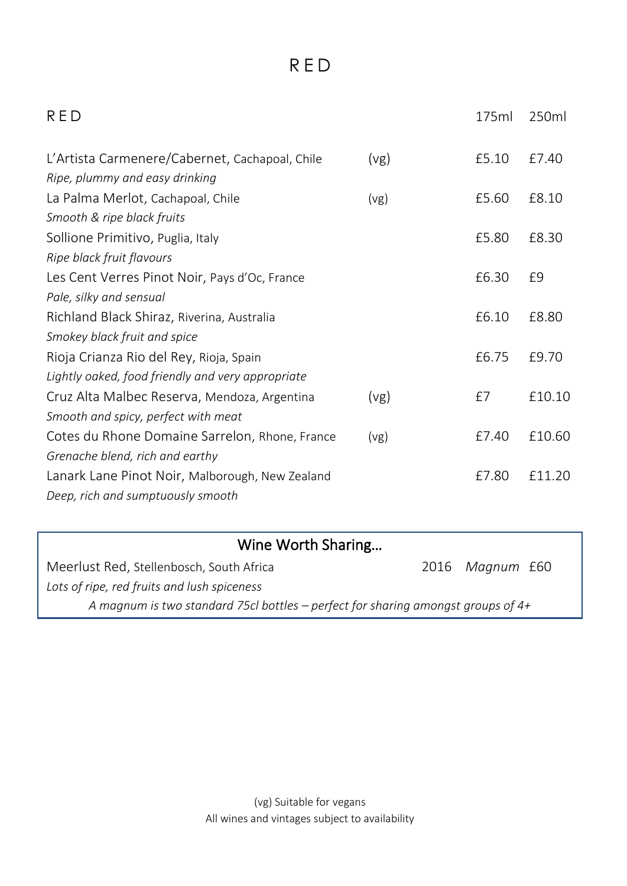## R E D

| RED                                                    | 175ml | 250ml  |
|--------------------------------------------------------|-------|--------|
| L'Artista Carmenere/Cabernet, Cachapoal, Chile<br>(vg) | £5.10 | £7.40  |
| Ripe, plummy and easy drinking                         |       |        |
| La Palma Merlot, Cachapoal, Chile<br>(vg)              | £5.60 | £8.10  |
| Smooth & ripe black fruits                             |       |        |
| Sollione Primitivo, Puglia, Italy                      | £5.80 | £8.30  |
| Ripe black fruit flavours                              |       |        |
| Les Cent Verres Pinot Noir, Pays d'Oc, France          | £6.30 | £9     |
| Pale, silky and sensual                                |       |        |
| Richland Black Shiraz, Riverina, Australia             | £6.10 | £8.80  |
| Smokey black fruit and spice                           |       |        |
| Rioja Crianza Rio del Rey, Rioja, Spain                | £6.75 | £9.70  |
| Lightly oaked, food friendly and very appropriate      |       |        |
| Cruz Alta Malbec Reserva, Mendoza, Argentina<br>(vg)   | £7    | f10.10 |
| Smooth and spicy, perfect with meat                    |       |        |
| Cotes du Rhone Domaine Sarrelon, Rhone, France<br>(vg) | £7.40 | £10.60 |
| Grenache blend, rich and earthy                        |       |        |
| Lanark Lane Pinot Noir, Malborough, New Zealand        | £7.80 | £11.20 |
| Deep, rich and sumptuously smooth                      |       |        |
|                                                        |       |        |

## Wine Worth Sharing…

| Meerlust Red. Stellenbosch. South Africa                                           | 2016 Maanum £60 |  |
|------------------------------------------------------------------------------------|-----------------|--|
| Lots of ripe, red fruits and lush spiceness                                        |                 |  |
| A magnum is two standard 75cl bottles – perfect for sharing amongst groups of $4+$ |                 |  |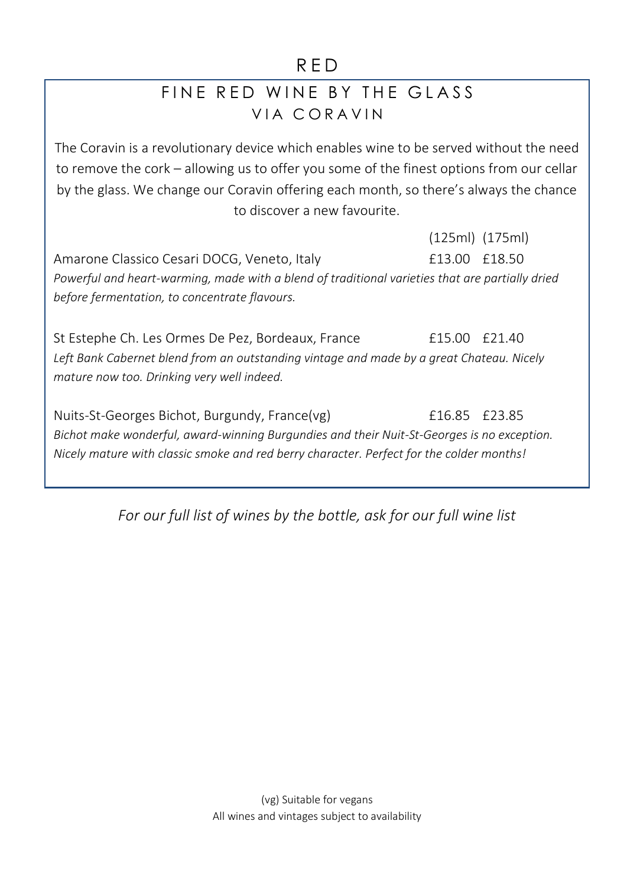### R E D

## FINE RED WINF BY THE GLASS VIA CORAVIN

The Coravin is a revolutionary device which enables wine to be served without the need to remove the cork – allowing us to offer you some of the finest options from our cellar by the glass. We change our Coravin offering each month, so there's always the chance to discover a new favourite.

(125ml) (175ml) Amarone Classico Cesari DOCG, Veneto, Italy **Election Classico E18.50** *Powerful and heart-warming, made with a blend of traditional varieties that are partially dried before fermentation, to concentrate flavours.*

St Estephe Ch. Les Ormes De Pez, Bordeaux, France F15.00 £21.40 *Left Bank Cabernet blend from an outstanding vintage and made by a great Chateau. Nicely mature now too. Drinking very well indeed.*

Nuits-St-Georges Bichot, Burgundy, France(vg) £16.85 £23.85 *Bichot make wonderful, award-winning Burgundies and their Nuit-St-Georges is no exception. Nicely mature with classic smoke and red berry character. Perfect for the colder months!*

*For our full list of wines by the bottle, ask for our full wine list*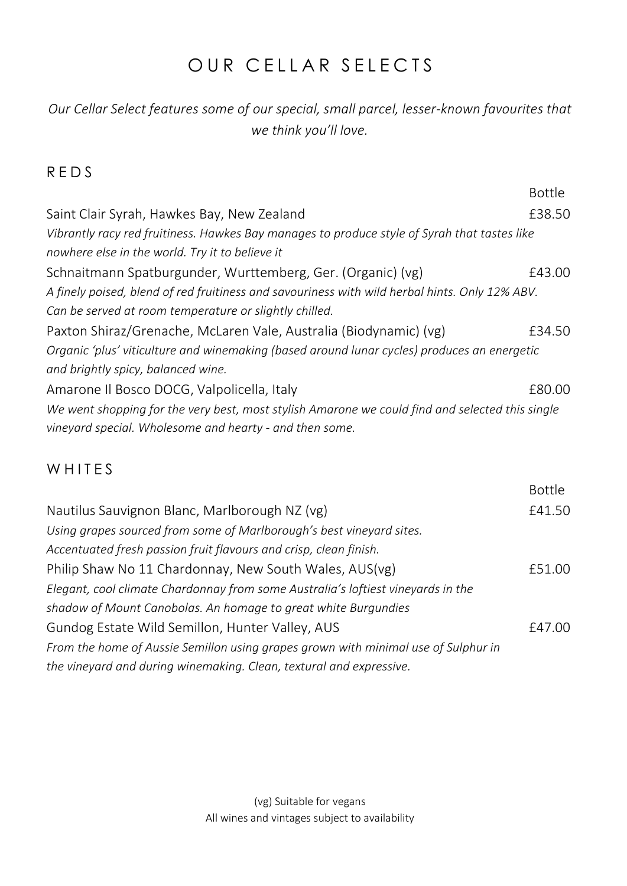## OUR CELLAR SELECTS

### *Our Cellar Select features some of our special, small parcel, lesser-known favourites that we think you'll love.*

### R E D S

|                                                                                                 | <b>Bottle</b> |  |
|-------------------------------------------------------------------------------------------------|---------------|--|
| Saint Clair Syrah, Hawkes Bay, New Zealand                                                      | £38.50        |  |
| Vibrantly racy red fruitiness. Hawkes Bay manages to produce style of Syrah that tastes like    |               |  |
| nowhere else in the world. Try it to believe it                                                 |               |  |
| Schnaitmann Spatburgunder, Wurttemberg, Ger. (Organic) (vg)                                     | £43.00        |  |
| A finely poised, blend of red fruitiness and savouriness with wild herbal hints. Only 12% ABV.  |               |  |
| Can be served at room temperature or slightly chilled.                                          |               |  |
| Paxton Shiraz/Grenache, McLaren Vale, Australia (Biodynamic) (vg)                               | £34.50        |  |
| Organic 'plus' viticulture and winemaking (based around lunar cycles) produces an energetic     |               |  |
| and brightly spicy, balanced wine.                                                              |               |  |
| Amarone Il Bosco DOCG, Valpolicella, Italy                                                      | £80.00        |  |
| We went shopping for the very best, most stylish Amarone we could find and selected this single |               |  |
| vineyard special. Wholesome and hearty - and then some.                                         |               |  |
|                                                                                                 |               |  |

### W H I T F S

|                                                                                                                                                    | <b>Bottle</b> |
|----------------------------------------------------------------------------------------------------------------------------------------------------|---------------|
| Nautilus Sauvignon Blanc, Marlborough NZ (vg)                                                                                                      | £41.50        |
| Using grapes sourced from some of Marlborough's best vineyard sites.                                                                               |               |
| Accentuated fresh passion fruit flavours and crisp, clean finish.                                                                                  |               |
| Philip Shaw No 11 Chardonnay, New South Wales, AUS(vg)                                                                                             | £51.00        |
| Elegant, cool climate Chardonnay from some Australia's loftiest vineyards in the<br>shadow of Mount Canobolas. An homage to great white Burgundies |               |
| Gundog Estate Wild Semillon, Hunter Valley, AUS                                                                                                    | £47.00        |
| From the home of Aussie Semillon using grapes grown with minimal use of Sulphur in                                                                 |               |
| the vineyard and during winemaking. Clean, textural and expressive.                                                                                |               |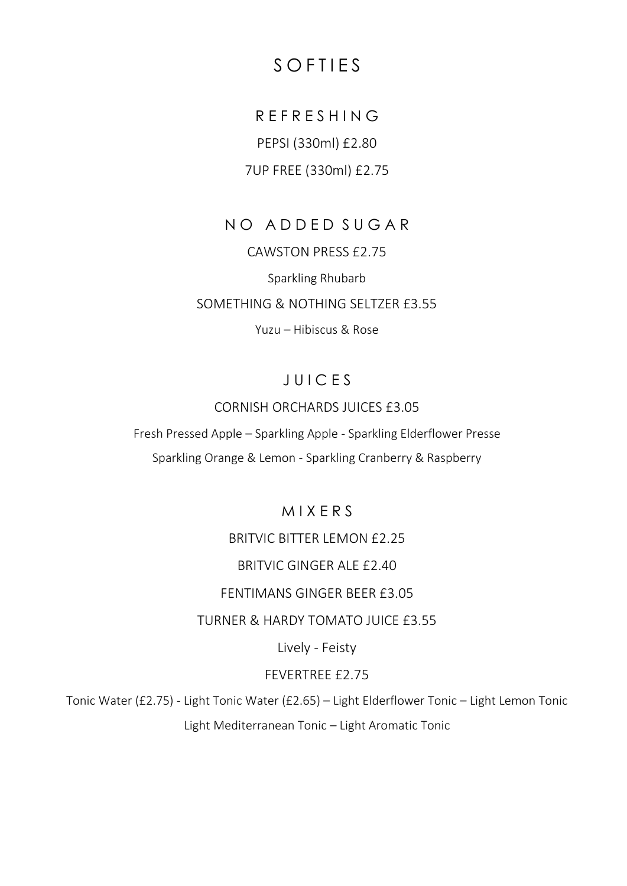## S O F T I F S

## R E F R E S H I N G

PEPSI (330ml) £2.80

### 7UP FREE (330ml) £2.75

### NO ADDED SUGAR

CAWSTON PRESS £2.75 Sparkling Rhubarb SOMETHING & NOTHING SELTZER £3.55 Yuzu – Hibiscus & Rose

### J U I C E S

### CORNISH ORCHARDS JUICES £3.05

Fresh Pressed Apple – Sparkling Apple - Sparkling Elderflower Presse Sparkling Orange & Lemon - Sparkling Cranberry & Raspberry

### M I X E R S

### BRITVIC BITTER LEMON £2.25

### BRITVIC GINGER ALE £2.40

#### FENTIMANS GINGER BEER £3.05

### TURNER & HARDY TOMATO JUICE £3.55

### Lively - Feisty

#### FEVERTREE £2.75

Tonic Water (£2.75) - Light Tonic Water (£2.65) – Light Elderflower Tonic – Light Lemon Tonic Light Mediterranean Tonic – Light Aromatic Tonic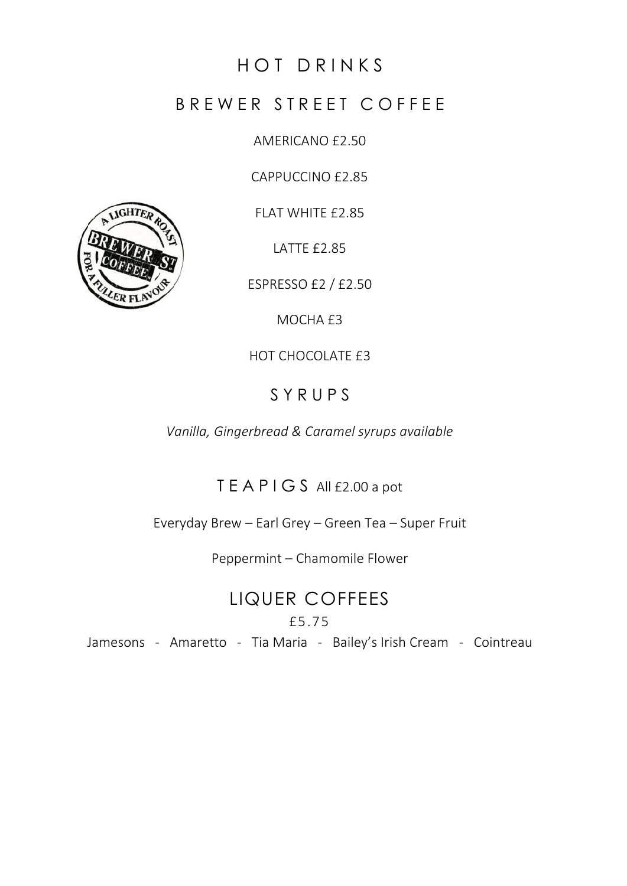## HOT DRINKS

### B R E W E R S T R E E T C O F F E E

AMERICANO £2.50

CAPPUCCINO £2.85

FLAT WHITE £2.85

LATTE £2.85

ESPRESSO £2 / £2.50

MOCHA £3

HOT CHOCOLATE £3

## S Y R U P S

*Vanilla, Gingerbread & Caramel syrups available*

## T E A P I G S All £2.00 a pot

Everyday Brew – Earl Grey – Green Tea – Super Fruit

Peppermint – Chamomile Flower

LIQUER COFFEES £5.75

Jamesons - Amaretto - Tia Maria - Bailey's Irish Cream - Cointreau